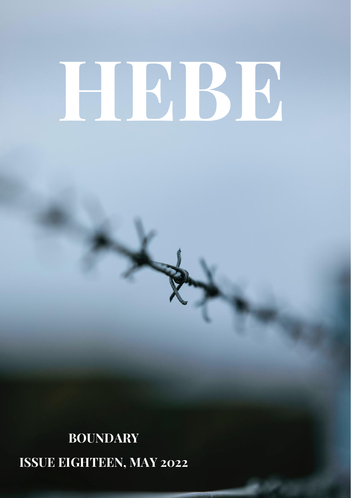# **HEBE**

# **BOUNDARY ISSUE EIGHTEEN, MAY 2022**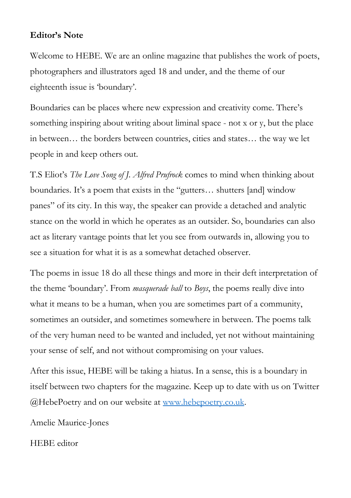### **Editor's Note**

Welcome to HEBE. We are an online magazine that publishes the work of poets, photographers and illustrators aged 18 and under, and the theme of our eighteenth issue is 'boundary'.

Boundaries can be places where new expression and creativity come. There's something inspiring about writing about liminal space - not x or y, but the place in between… the borders between countries, cities and states… the way we let people in and keep others out.

T.S Eliot's *The Love Song of J. Alfred Prufrock* comes to mind when thinking about boundaries. It's a poem that exists in the "gutters… shutters [and] window panes" of its city. In this way, the speaker can provide a detached and analytic stance on the world in which he operates as an outsider. So, boundaries can also act as literary vantage points that let you see from outwards in, allowing you to see a situation for what it is as a somewhat detached observer.

The poems in issue 18 do all these things and more in their deft interpretation of the theme 'boundary'. From *masquerade ball* to *Boys*, the poems really dive into what it means to be a human, when you are sometimes part of a community, sometimes an outsider, and sometimes somewhere in between. The poems talk of the very human need to be wanted and included, yet not without maintaining your sense of self, and not without compromising on your values.

After this issue, HEBE will be taking a hiatus. In a sense, this is a boundary in itself between two chapters for the magazine. Keep up to date with us on Twitter @HebePoetry and on our website at [www.hebepoetry.co.uk.](http://www.hebepoetry.co.uk/)

Amelie Maurice-Jones

HEBE editor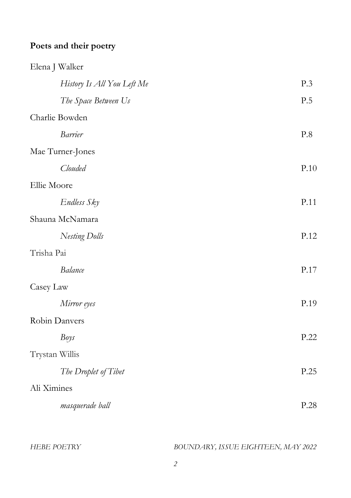# **Poets and their poetry**

| Elena J Walker             |      |
|----------------------------|------|
| History Is All You Left Me | P.3  |
| The Space Between Us       | P.5  |
| Charlie Bowden             |      |
| <b>Barrier</b>             | P.8  |
| Mae Turner-Jones           |      |
| Clouded                    | P.10 |
| Ellie Moore                |      |
| Endless Sky                | P.11 |
| Shauna McNamara            |      |
| Nesting Dolls              | P.12 |
| Trisha Pai                 |      |
| <b>Balance</b>             | P.17 |
| Casey Law                  |      |
| Mirror eyes                | P.19 |
| Robin Danvers              |      |
| Boys                       | P.22 |
| Trystan Willis             |      |
| The Droplet of Tibet       | P.25 |
| Ali Ximines                |      |
| masquerade ball            | P.28 |
|                            |      |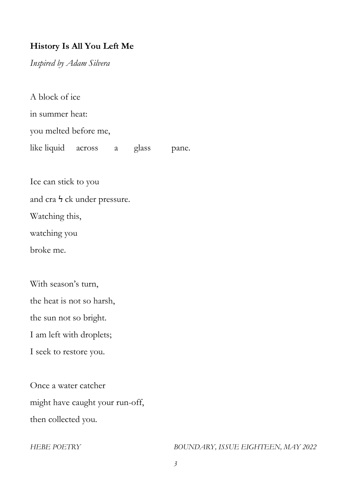# **History Is All You Left Me**

*Inspired by Adam Silvera*

A block of ice in summer heat: you melted before me, like liquid across a glass pane.

Ice can stick to you

and cra <sup>1</sup> ck under pressure.

Watching this,

watching you

broke me.

With season's turn,

the heat is not so harsh,

the sun not so bright.

I am left with droplets;

I seek to restore you.

Once a water catcher might have caught your run-off, then collected you.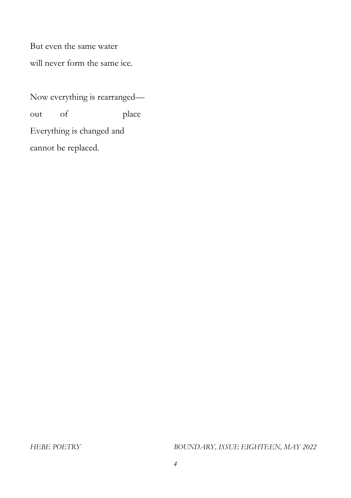But even the same water will never form the same ice.

Now everything is rearranged out of place Everything is changed and cannot be replaced.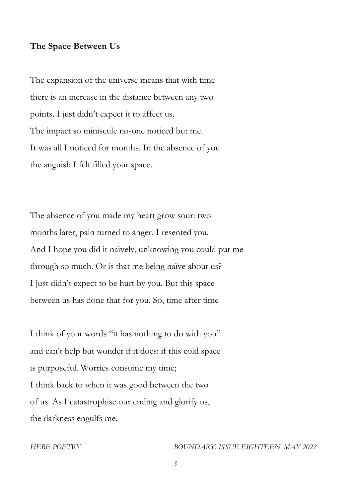### **The Space Between Us**

The expansion of the universe means that with time there is an increase in the distance between any two points. I just didn't expect it to affect us. The impact so miniscule no-one noticed but me. It was all I noticed for months. In the absence of you the anguish I felt filled your space.

The absence of you made my heart grow sour: two months later, pain turned to anger. I resented you. And I hope you did it naïvely, unknowing you could put me through so much. Or is that me being naïve about us? I just didn't expect to be hurt by you. But this space between us has done that for you. So, time after time

I think of your words "it has nothing to do with you" and can't help but wonder if it does: if this cold space is purposeful. Worries consume my time; I think back to when it was good between the two of us. As I catastrophise our ending and glorify us, the darkness engulfs me.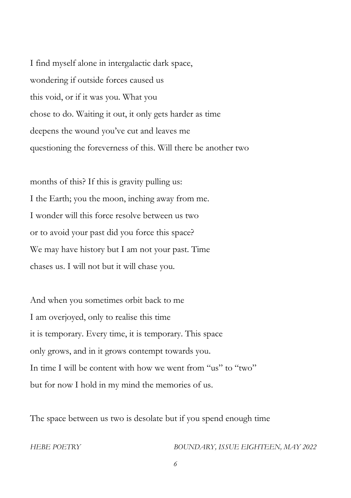I find myself alone in intergalactic dark space, wondering if outside forces caused us this void, or if it was you. What you chose to do. Waiting it out, it only gets harder as time deepens the wound you've cut and leaves me questioning the foreverness of this. Will there be another two

months of this? If this is gravity pulling us: I the Earth; you the moon, inching away from me. I wonder will this force resolve between us two or to avoid your past did you force this space? We may have history but I am not your past. Time chases us. I will not but it will chase you.

And when you sometimes orbit back to me I am overjoyed, only to realise this time it is temporary. Every time, it is temporary. This space only grows, and in it grows contempt towards you. In time I will be content with how we went from "us" to "two" but for now I hold in my mind the memories of us.

The space between us two is desolate but if you spend enough time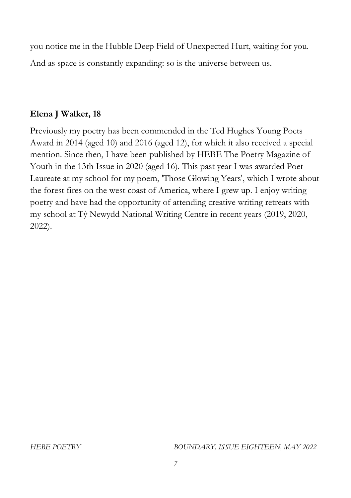you notice me in the Hubble Deep Field of Unexpected Hurt, waiting for you. And as space is constantly expanding: so is the universe between us.

# **Elena J Walker, 18**

Previously my poetry has been commended in the Ted Hughes Young Poets Award in 2014 (aged 10) and 2016 (aged 12), for which it also received a special mention. Since then, I have been published by HEBE The Poetry Magazine of Youth in the 13th Issue in 2020 (aged 16). This past year I was awarded Poet Laureate at my school for my poem, 'Those Glowing Years', which I wrote about the forest fires on the west coast of America, where I grew up. I enjoy writing poetry and have had the opportunity of attending creative writing retreats with my school at Tŷ Newydd National Writing Centre in recent years (2019, 2020, 2022).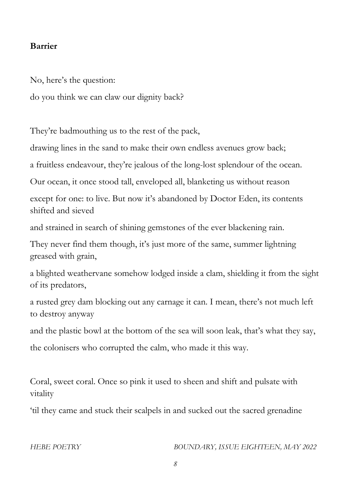### **Barrier**

No, here's the question:

do you think we can claw our dignity back?

They're badmouthing us to the rest of the pack,

drawing lines in the sand to make their own endless avenues grow back;

a fruitless endeavour, they're jealous of the long-lost splendour of the ocean.

Our ocean, it once stood tall, enveloped all, blanketing us without reason

except for one: to live. But now it's abandoned by Doctor Eden, its contents shifted and sieved

and strained in search of shining gemstones of the ever blackening rain.

They never find them though, it's just more of the same, summer lightning greased with grain,

a blighted weathervane somehow lodged inside a clam, shielding it from the sight of its predators,

a rusted grey dam blocking out any carnage it can. I mean, there's not much left to destroy anyway

and the plastic bowl at the bottom of the sea will soon leak, that's what they say, the colonisers who corrupted the calm, who made it this way.

Coral, sweet coral. Once so pink it used to sheen and shift and pulsate with vitality

'til they came and stuck their scalpels in and sucked out the sacred grenadine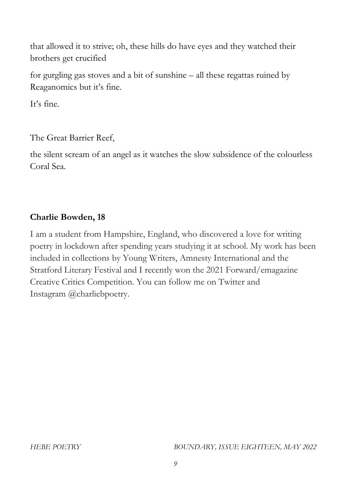that allowed it to strive; oh, these hills do have eyes and they watched their brothers get crucified

for gurgling gas stoves and a bit of sunshine – all these regattas ruined by Reaganomics but it's fine.

It's fine.

The Great Barrier Reef,

the silent scream of an angel as it watches the slow subsidence of the colourless Coral Sea.

# **Charlie Bowden, 18**

I am a student from Hampshire, England, who discovered a love for writing poetry in lockdown after spending years studying it at school. My work has been included in collections by Young Writers, Amnesty International and the Stratford Literary Festival and I recently won the 2021 Forward/emagazine Creative Critics Competition. You can follow me on Twitter and Instagram @charliebpoetry.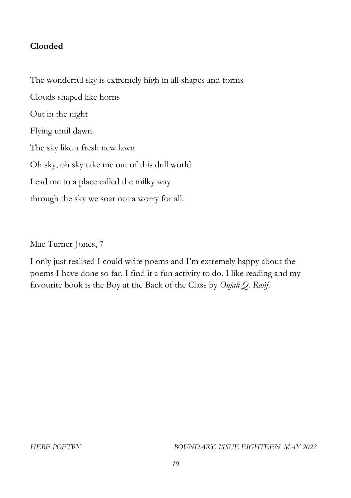### **Clouded**

The wonderful sky is extremely high in all shapes and forms Clouds shaped like horns Out in the night Flying until dawn. The sky like a fresh new lawn Oh sky, oh sky take me out of this dull world Lead me to a place called the milky way through the sky we soar not a worry for all.

Mae Turner-Jones, 7

I only just realised I could write poems and I'm extremely happy about the poems I have done so far. I find it a fun activity to do. I like reading and my favourite book is the Boy at the Back of the Class by *Onjali Q. Raúf*.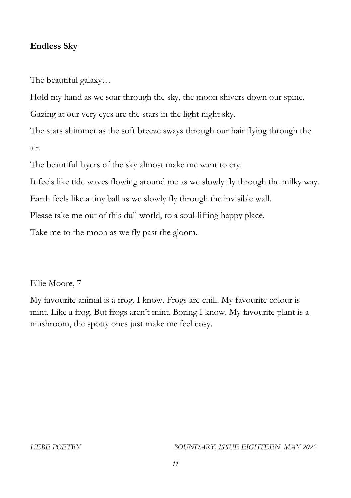### **Endless Sky**

The beautiful galaxy…

Hold my hand as we soar through the sky, the moon shivers down our spine. Gazing at our very eyes are the stars in the light night sky.

The stars shimmer as the soft breeze sways through our hair flying through the air.

The beautiful layers of the sky almost make me want to cry.

It feels like tide waves flowing around me as we slowly fly through the milky way.

Earth feels like a tiny ball as we slowly fly through the invisible wall.

Please take me out of this dull world, to a soul-lifting happy place.

Take me to the moon as we fly past the gloom.

Ellie Moore, 7

My favourite animal is a frog. I know. Frogs are chill. My favourite colour is mint. Like a frog. But frogs aren't mint. Boring I know. My favourite plant is a mushroom, the spotty ones just make me feel cosy.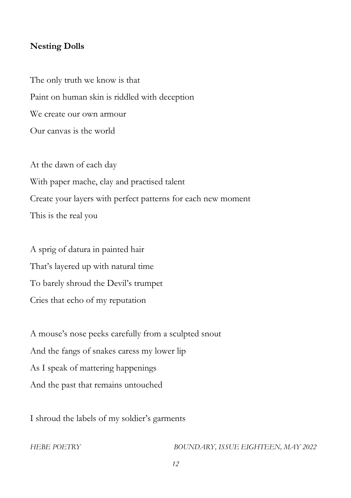### **Nesting Dolls**

The only truth we know is that Paint on human skin is riddled with deception We create our own armour Our canvas is the world

At the dawn of each day With paper mache, clay and practised talent Create your layers with perfect patterns for each new moment This is the real you

A sprig of datura in painted hair That's layered up with natural time To barely shroud the Devil's trumpet Cries that echo of my reputation

A mouse's nose peeks carefully from a sculpted snout And the fangs of snakes caress my lower lip As I speak of mattering happenings And the past that remains untouched

I shroud the labels of my soldier's garments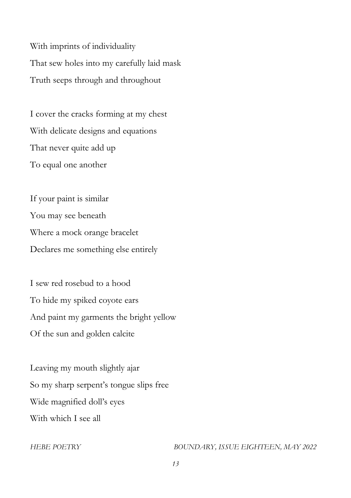With imprints of individuality That sew holes into my carefully laid mask Truth seeps through and throughout

I cover the cracks forming at my chest With delicate designs and equations That never quite add up To equal one another

If your paint is similar You may see beneath Where a mock orange bracelet Declares me something else entirely

I sew red rosebud to a hood To hide my spiked coyote ears And paint my garments the bright yellow Of the sun and golden calcite

Leaving my mouth slightly ajar So my sharp serpent's tongue slips free Wide magnified doll's eyes With which I see all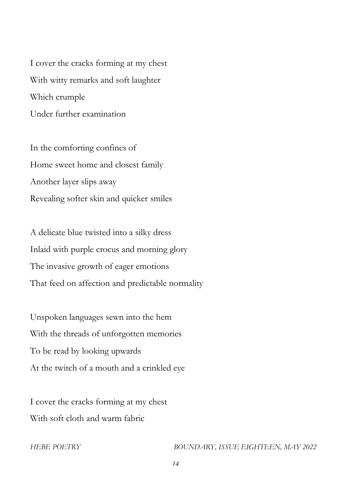I cover the cracks forming at my chest With witty remarks and soft laughter Which crumple Under further examination

In the comforting confines of Home sweet home and closest family Another layer slips away Revealing softer skin and quicker smiles

A delicate blue twisted into a silky dress Inlaid with purple crocus and morning glory The invasive growth of eager emotions That feed on affection and predictable normality

Unspoken languages sewn into the hem With the threads of unforgotten memories To be read by looking upwards At the twitch of a mouth and a crinkled eye

I cover the cracks forming at my chest With soft cloth and warm fabric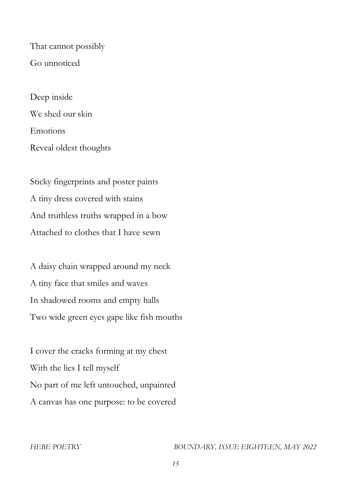That cannot possibly Go unnoticed

Deep inside We shed our skin Emotions Reveal oldest thoughts

Sticky fingerprints and poster paints A tiny dress covered with stains And truthless truths wrapped in a bow Attached to clothes that I have sewn

A daisy chain wrapped around my neck A tiny face that smiles and waves In shadowed rooms and empty halls Two wide green eyes gape like fish mouths

I cover the cracks forming at my chest With the lies I tell myself No part of me left untouched, unpainted A canvas has one purpose: to be covered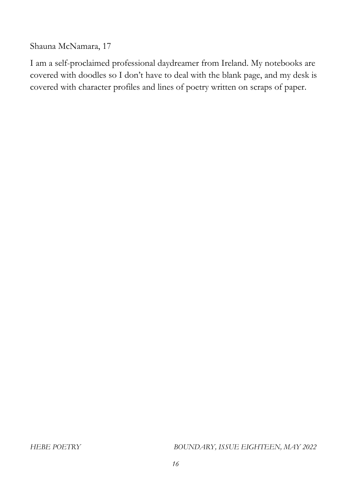Shauna McNamara, 17

I am a self-proclaimed professional daydreamer from Ireland. My notebooks are covered with doodles so I don't have to deal with the blank page, and my desk is covered with character profiles and lines of poetry written on scraps of paper.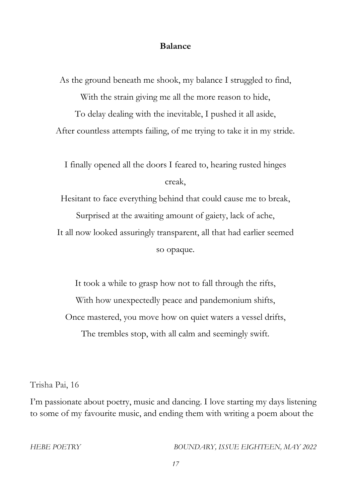### **Balance**

As the ground beneath me shook, my balance I struggled to find, With the strain giving me all the more reason to hide, To delay dealing with the inevitable, I pushed it all aside, After countless attempts failing, of me trying to take it in my stride.

I finally opened all the doors I feared to, hearing rusted hinges creak,

Hesitant to face everything behind that could cause me to break,

Surprised at the awaiting amount of gaiety, lack of ache,

It all now looked assuringly transparent, all that had earlier seemed

so opaque.

It took a while to grasp how not to fall through the rifts, With how unexpectedly peace and pandemonium shifts, Once mastered, you move how on quiet waters a vessel drifts, The trembles stop, with all calm and seemingly swift.

Trisha Pai, 16

I'm passionate about poetry, music and dancing. I love starting my days listening to some of my favourite music, and ending them with writing a poem about the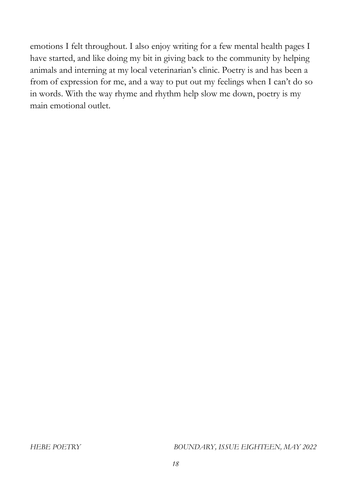emotions I felt throughout. I also enjoy writing for a few mental health pages I have started, and like doing my bit in giving back to the community by helping animals and interning at my local veterinarian's clinic. Poetry is and has been a from of expression for me, and a way to put out my feelings when I can't do so in words. With the way rhyme and rhythm help slow me down, poetry is my main emotional outlet.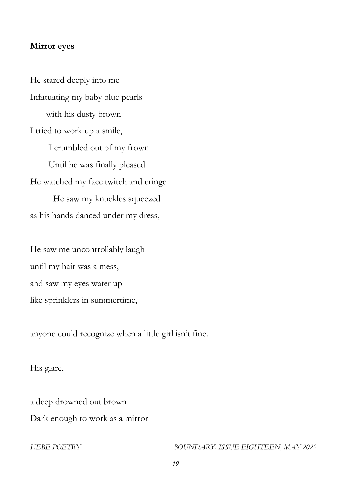### **Mirror eyes**

He stared deeply into me Infatuating my baby blue pearls with his dusty brown I tried to work up a smile, I crumbled out of my frown Until he was finally pleased He watched my face twitch and cringe He saw my knuckles squeezed as his hands danced under my dress,

He saw me uncontrollably laugh until my hair was a mess, and saw my eyes water up like sprinklers in summertime,

anyone could recognize when a little girl isn't fine.

His glare,

a deep drowned out brown Dark enough to work as a mirror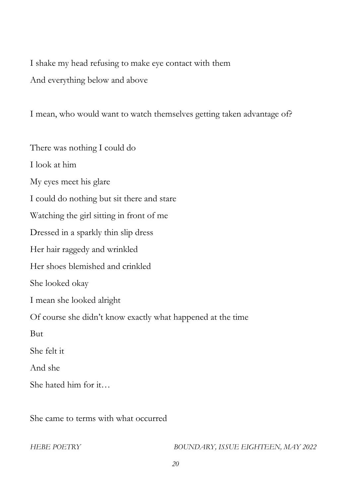I shake my head refusing to make eye contact with them And everything below and above

I mean, who would want to watch themselves getting taken advantage of?

There was nothing I could do I look at him My eyes meet his glare I could do nothing but sit there and stare Watching the girl sitting in front of me Dressed in a sparkly thin slip dress Her hair raggedy and wrinkled Her shoes blemished and crinkled She looked okay I mean she looked alright Of course she didn't know exactly what happened at the time But She felt it And she She hated him for it…

She came to terms with what occurred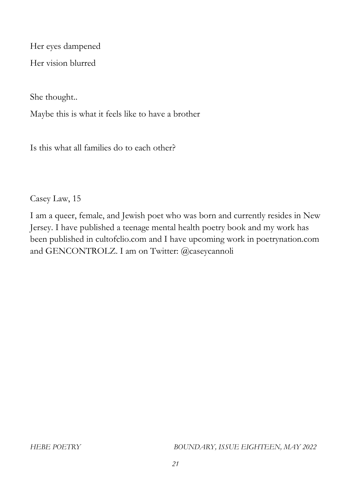Her eyes dampened

Her vision blurred

She thought..

Maybe this is what it feels like to have a brother

Is this what all families do to each other?

Casey Law, 15

I am a queer, female, and Jewish poet who was born and currently resides in New Jersey. I have published a teenage mental health poetry book and my work has been published in cultofclio.com and I have upcoming work in poetrynation.com and GENCONTROLZ. I am on Twitter: @caseycannoli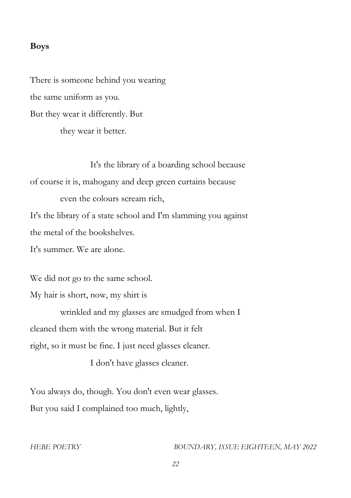### **Boys**

There is someone behind you wearing the same uniform as you. But they wear it differently. But they wear it better.

It's the library of a boarding school because of course it is, mahogany and deep green curtains because even the colours scream rich, It's the library of a state school and I'm slamming you against the metal of the bookshelves. It's summer. We are alone.

We did not go to the same school.

My hair is short, now, my shirt is

wrinkled and my glasses are smudged from when I cleaned them with the wrong material. But it felt right, so it must be fine. I just need glasses cleaner.

I don't have glasses cleaner.

You always do, though. You don't even wear glasses. But you said I complained too much, lightly,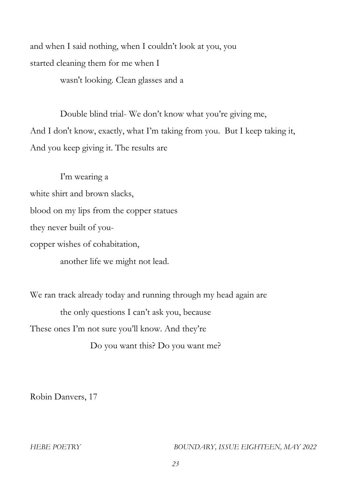and when I said nothing, when I couldn't look at you, you started cleaning them for me when I wasn't looking. Clean glasses and a

Double blind trial- We don't know what you're giving me, And I don't know, exactly, what I'm taking from you. But I keep taking it, And you keep giving it. The results are

I'm wearing a white shirt and brown slacks, blood on my lips from the copper statues they never built of youcopper wishes of cohabitation, another life we might not lead.

We ran track already today and running through my head again are the only questions I can't ask you, because These ones I'm not sure you'll know. And they're

Do you want this? Do you want me?

Robin Danvers, 17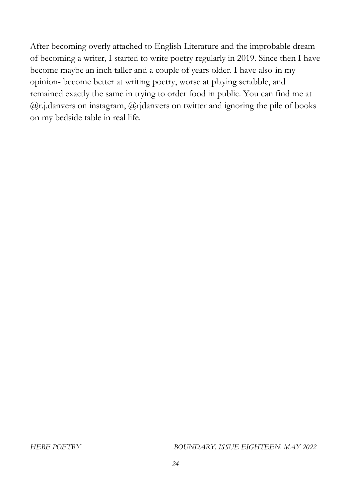After becoming overly attached to English Literature and the improbable dream of becoming a writer, I started to write poetry regularly in 2019. Since then I have become maybe an inch taller and a couple of years older. I have also-in my opinion- become better at writing poetry, worse at playing scrabble, and remained exactly the same in trying to order food in public. You can find me at  $(a)$ r.j.danvers on instagram,  $(a)$ rjdanvers on twitter and ignoring the pile of books on my bedside table in real life.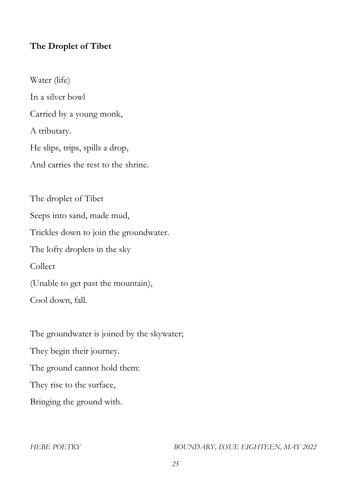# **The Droplet of Tibet**

Water (life) In a silver bowl Carried by a young monk, A tributary. He slips, trips, spills a drop, And carries the rest to the shrine.

The droplet of Tibet Seeps into sand, made mud, Trickles down to join the groundwater. The lofty droplets in the sky Collect (Unable to get past the mountain), Cool down, fall.

The groundwater is joined by the skywater; They begin their journey. The ground cannot hold them: They rise to the surface, Bringing the ground with.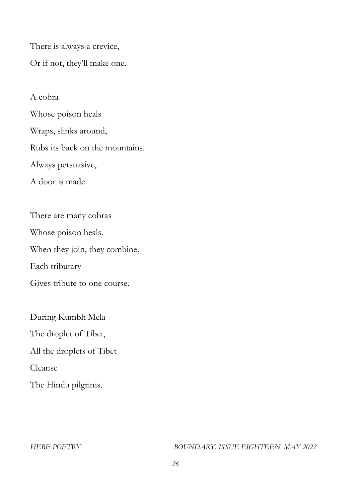There is always a crevice, Or if not, they'll make one.

A cobra Whose poison heals Wraps, slinks around, Rubs its back on the mountains. Always persuasive, A door is made.

There are many cobras Whose poison heals. When they join, they combine. Each tributary Gives tribute to one course.

During Kumbh Mela The droplet of Tibet, All the droplets of Tibet Cleanse The Hindu pilgrims.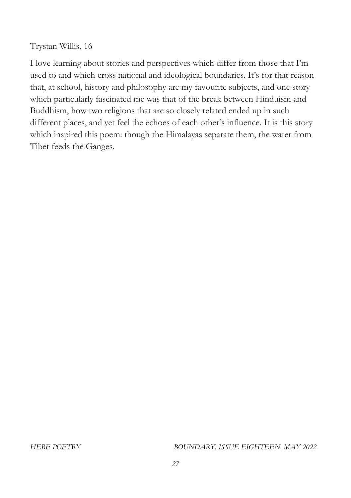Trystan Willis, 16

I love learning about stories and perspectives which differ from those that I'm used to and which cross national and ideological boundaries. It's for that reason that, at school, history and philosophy are my favourite subjects, and one story which particularly fascinated me was that of the break between Hinduism and Buddhism, how two religions that are so closely related ended up in such different places, and yet feel the echoes of each other's influence. It is this story which inspired this poem: though the Himalayas separate them, the water from Tibet feeds the Ganges.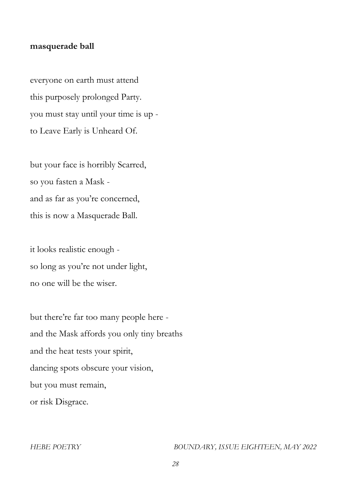### **masquerade ball**

everyone on earth must attend this purposely prolonged Party. you must stay until your time is up to Leave Early is Unheard Of.

but your face is horribly Scarred, so you fasten a Mask and as far as you're concerned, this is now a Masquerade Ball.

it looks realistic enough so long as you're not under light, no one will be the wiser.

but there're far too many people here and the Mask affords you only tiny breaths and the heat tests your spirit, dancing spots obscure your vision, but you must remain, or risk Disgrace.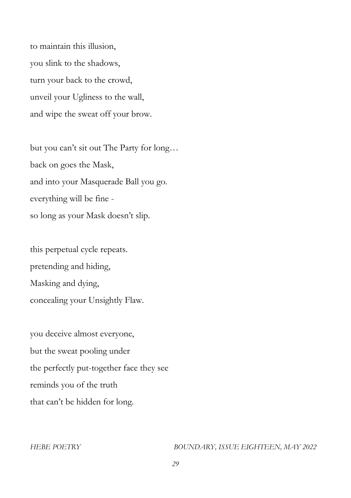to maintain this illusion, you slink to the shadows, turn your back to the crowd, unveil your Ugliness to the wall, and wipe the sweat off your brow.

but you can't sit out The Party for long… back on goes the Mask, and into your Masquerade Ball you go. everything will be fine so long as your Mask doesn't slip.

this perpetual cycle repeats. pretending and hiding, Masking and dying, concealing your Unsightly Flaw.

you deceive almost everyone, but the sweat pooling under the perfectly put-together face they see reminds you of the truth that can't be hidden for long.